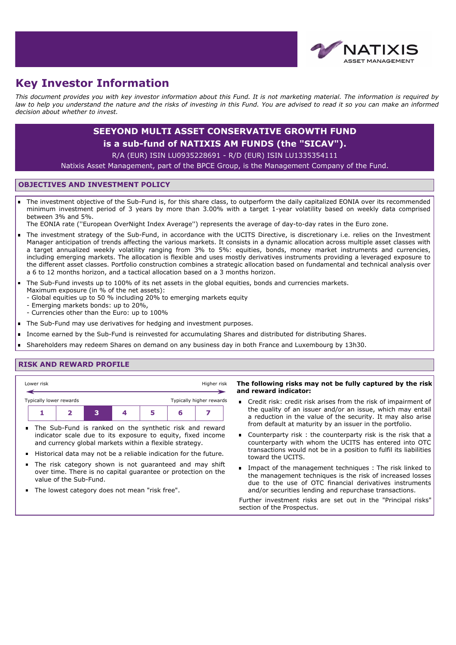

# **Key Investor Information**

*This document provides you with key investor information about this Fund. It is not marketing material. The information is required by law to help you understand the nature and the risks of investing in this Fund. You are advised to read it so you can make an informed decision about whether to invest.*

## **SEEYOND MULTI ASSET CONSERVATIVE GROWTH FUND**

### **is a sub-fund of NATIXIS AM FUNDS (the "SICAV").**

R/A (EUR) ISIN LU0935228691 - R/D (EUR) ISIN LU1335354111

Natixis Asset Management, part of the BPCE Group, is the Management Company of the Fund.

#### **OBJECTIVES AND INVESTMENT POLICY**

The investment objective of the Sub-Fund is, for this share class, to outperform the daily capitalized EONIA over its recommended minimum investment period of 3 years by more than 3.00% with a target 1-year volatility based on weekly data comprised between 3% and 5%.

The EONIA rate (''European OverNight Index Average'') represents the average of day-to-day rates in the Euro zone.

- The investment strategy of the Sub-Fund, in accordance with the UCITS Directive, is discretionary i.e. relies on the Investment Manager anticipation of trends affecting the various markets. It consists in a dynamic allocation across multiple asset classes with a target annualized weekly volatility ranging from 3% to 5%: equities, bonds, money market instruments and currencies, including emerging markets. The allocation is flexible and uses mostly derivatives instruments providing a leveraged exposure to the different asset classes. Portfolio construction combines a strategic allocation based on fundamental and technical analysis over a 6 to 12 months horizon, and a tactical allocation based on a 3 months horizon.
- The Sub-Fund invests up to 100% of its net assets in the global equities, bonds and currencies markets. Maximum exposure (in % of the net assets):
	- Global equities up to 50 % including 20% to emerging markets equity
	- Emerging markets bonds: up to 20%,
	- Currencies other than the Euro: up to 100%
- The Sub-Fund may use derivatives for hedging and investment purposes.  $\blacksquare$
- Income earned by the Sub-Fund is reinvested for accumulating Shares and distributed for distributing Shares.
- Shareholders may redeem Shares on demand on any business day in both France and Luxembourg by 13h30.

#### **RISK AND REWARD PROFILE**



- The risk category shown is not guaranteed and may shift over time. There is no capital guarantee or protection on the value of the Sub-Fund.
- The lowest category does not mean "risk free".

#### **The following risks may not be fully captured by the risk and reward indicator:**

- Credit risk: credit risk arises from the risk of impairment of the quality of an issuer and/or an issue, which may entail a reduction in the value of the security. It may also arise from default at maturity by an issuer in the portfolio.
- Counterparty risk : the counterparty risk is the risk that a counterparty with whom the UCITS has entered into OTC transactions would not be in a position to fulfil its liabilities toward the UCITS.
- **IMPACT OF THE MANAGEMENT THE THE THANK** Inked to the management techniques is the risk of increased losses due to the use of OTC financial derivatives instruments and/or securities lending and repurchase transactions.

Further investment risks are set out in the "Principal risks" section of the Prospectus.